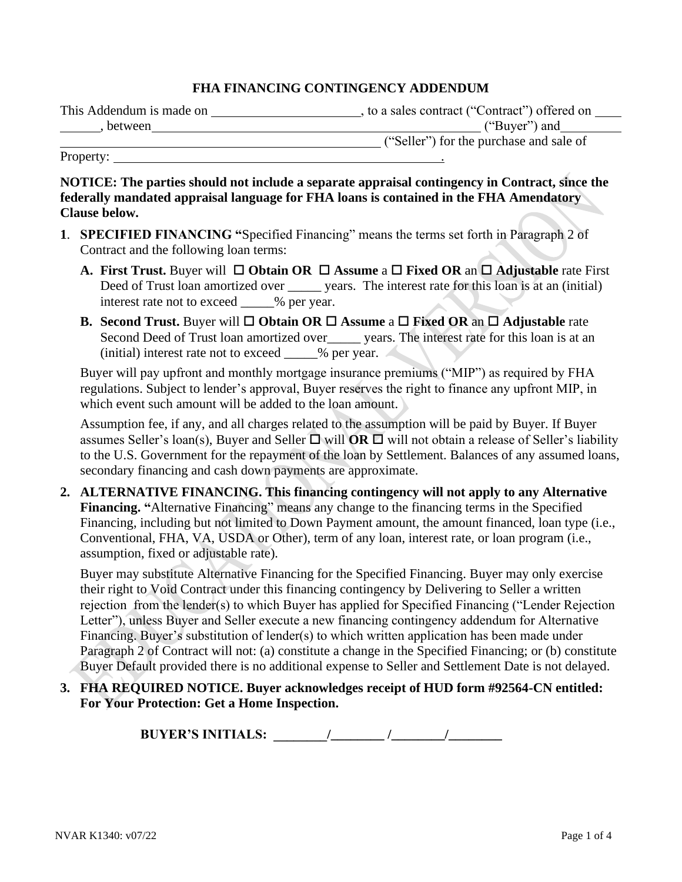#### **FHA FINANCING CONTINGENCY ADDENDUM**

| This Addendum is made on | , to a sales contract ("Contract") offered on |
|--------------------------|-----------------------------------------------|
| between                  | ("Buyer") and                                 |
|                          | ("Seller") for the purchase and sale of       |

Property:

**Clause below.**

**NOTICE: The parties should not include a separate appraisal contingency in Contract, since the federally mandated appraisal language for FHA loans is contained in the FHA Amendatory** 

- **1**. **SPECIFIED FINANCING "**Specified Financing" means the terms set forth in Paragraph 2 of Contract and the following loan terms:
	- **A.** First Trust. Buyer will  $\Box$  Obtain OR  $\Box$  Assume a  $\Box$  Fixed OR an  $\Box$  Adjustable rate First Deed of Trust loan amortized over \_\_\_\_\_\_ years. The interest rate for this loan is at an (initial) interest rate not to exceed  $\%$  per year.
	- **B.** Second Trust. Buyer will  $\Box$  Obtain OR  $\Box$  Assume a  $\Box$  Fixed OR an  $\Box$  Adjustable rate Second Deed of Trust loan amortized over\_\_\_\_\_\_ years. The interest rate for this loan is at an  $(i$ nitial) interest rate not to exceed  $\%$  per year.

Buyer will pay upfront and monthly mortgage insurance premiums ("MIP") as required by FHA regulations. Subject to lender's approval, Buyer reserves the right to finance any upfront MIP, in which event such amount will be added to the loan amount.

Assumption fee, if any, and all charges related to the assumption will be paid by Buyer. If Buyer assumes Seller's loan(s), Buyer and Seller  $\Box$  will **OR**  $\Box$  will not obtain a release of Seller's liability to the U.S. Government for the repayment of the loan by Settlement. Balances of any assumed loans, secondary financing and cash down payments are approximate.

**2. ALTERNATIVE FINANCING. This financing contingency will not apply to any Alternative Financing. "**Alternative Financing" means any change to the financing terms in the Specified Financing, including but not limited to Down Payment amount, the amount financed, loan type (i.e., Conventional, FHA, VA, USDA or Other), term of any loan, interest rate, or loan program (i.e., assumption, fixed or adjustable rate).

Buyer may substitute Alternative Financing for the Specified Financing. Buyer may only exercise their right to Void Contract under this financing contingency by Delivering to Seller a written rejection from the lender(s) to which Buyer has applied for Specified Financing ("Lender Rejection Letter"), unless Buyer and Seller execute a new financing contingency addendum for Alternative Financing. Buyer's substitution of lender(s) to which written application has been made under Paragraph 2 of Contract will not: (a) constitute a change in the Specified Financing; or (b) constitute Buyer Default provided there is no additional expense to Seller and Settlement Date is not delayed.

**3. FHA REQUIRED NOTICE. Buyer acknowledges receipt of HUD form #92564-CN entitled: For Your Protection: Get a Home Inspection.**

**BUYER'S INITIALS: \_\_\_\_\_\_\_\_/\_\_\_\_\_\_\_\_ /\_\_\_\_\_\_\_\_/\_\_\_\_\_\_\_\_**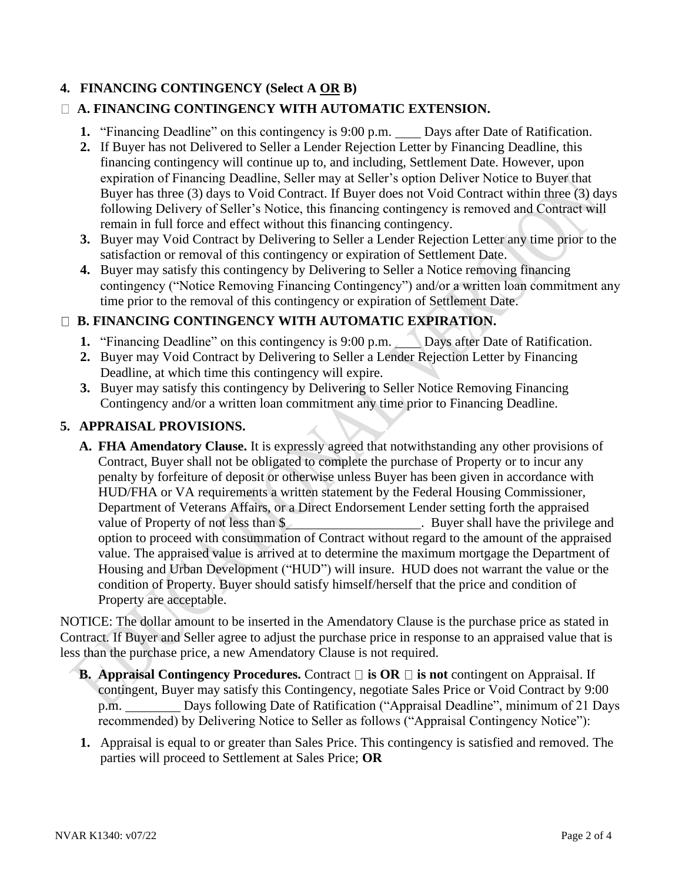## **4. FINANCING CONTINGENCY (Select A OR B)**

# **A. FINANCING CONTINGENCY WITH AUTOMATIC EXTENSION.**

- **1.** "Financing Deadline" on this contingency is 9:00 p.m. \_\_\_\_\_ Days after Date of Ratification.
- **2.** If Buyer has not Delivered to Seller a Lender Rejection Letter by Financing Deadline, this financing contingency will continue up to, and including, Settlement Date. However, upon expiration of Financing Deadline, Seller may at Seller's option Deliver Notice to Buyer that Buyer has three (3) days to Void Contract. If Buyer does not Void Contract within three (3) days following Delivery of Seller's Notice, this financing contingency is removed and Contract will remain in full force and effect without this financing contingency.
- **3.** Buyer may Void Contract by Delivering to Seller a Lender Rejection Letter any time prior to the satisfaction or removal of this contingency or expiration of Settlement Date.
- **4.** Buyer may satisfy this contingency by Delivering to Seller a Notice removing financing contingency ("Notice Removing Financing Contingency") and/or a written loan commitment any time prior to the removal of this contingency or expiration of Settlement Date.

### **B. FINANCING CONTINGENCY WITH AUTOMATIC EXPIRATION.**

- **1.** "Financing Deadline" on this contingency is 9:00 p.m. Days after Date of Ratification.
- **2.** Buyer may Void Contract by Delivering to Seller a Lender Rejection Letter by Financing Deadline, at which time this contingency will expire.
- **3.** Buyer may satisfy this contingency by Delivering to Seller Notice Removing Financing Contingency and/or a written loan commitment any time prior to Financing Deadline.

### **5. APPRAISAL PROVISIONS.**

**A. FHA Amendatory Clause.** It is expressly agreed that notwithstanding any other provisions of Contract, Buyer shall not be obligated to complete the purchase of Property or to incur any penalty by forfeiture of deposit or otherwise unless Buyer has been given in accordance with HUD/FHA or VA requirements a written statement by the Federal Housing Commissioner, Department of Veterans Affairs, or a Direct Endorsement Lender setting forth the appraised value of Property of not less than \$ option to proceed with consummation of Contract without regard to the amount of the appraised value. The appraised value is arrived at to determine the maximum mortgage the Department of Housing and Urban Development ("HUD") will insure. HUD does not warrant the value or the condition of Property. Buyer should satisfy himself/herself that the price and condition of Property are acceptable.

NOTICE: The dollar amount to be inserted in the Amendatory Clause is the purchase price as stated in Contract. If Buyer and Seller agree to adjust the purchase price in response to an appraised value that is less than the purchase price, a new Amendatory Clause is not required.

- **B. Appraisal Contingency Procedures.** Contract **□** is **OR** □ is not contingent on Appraisal. If contingent, Buyer may satisfy this Contingency, negotiate Sales Price or Void Contract by 9:00 p.m. Days following Date of Ratification ("Appraisal Deadline", minimum of 21 Days recommended) by Delivering Notice to Seller as follows ("Appraisal Contingency Notice"):
- **1.** Appraisal is equal to or greater than Sales Price. This contingency is satisfied and removed. The parties will proceed to Settlement at Sales Price; **OR**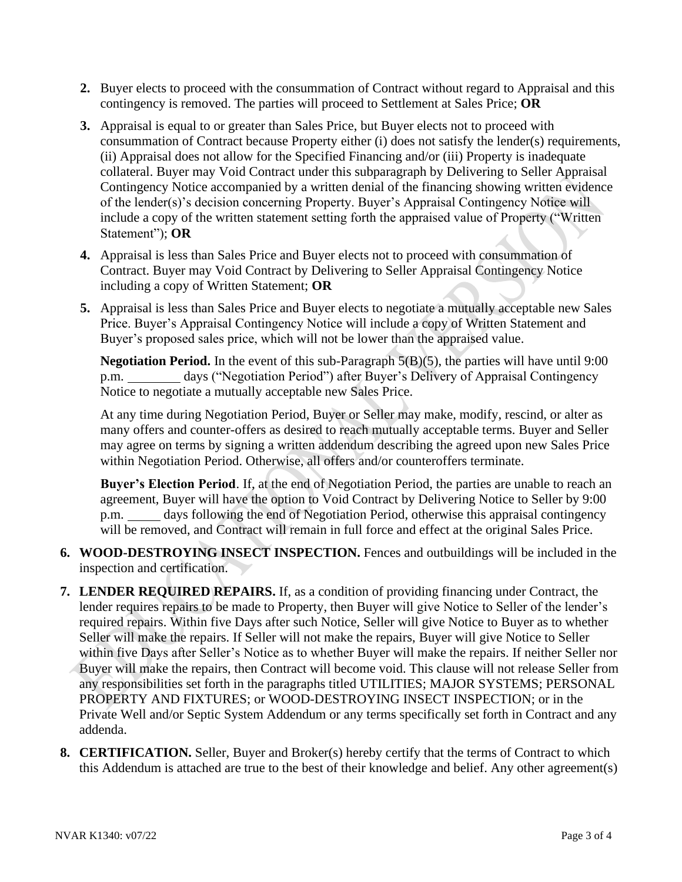- **2.** Buyer elects to proceed with the consummation of Contract without regard to Appraisal and this contingency is removed. The parties will proceed to Settlement at Sales Price; **OR**
- **3.** Appraisal is equal to or greater than Sales Price, but Buyer elects not to proceed with consummation of Contract because Property either (i) does not satisfy the lender(s) requirements, (ii) Appraisal does not allow for the Specified Financing and/or (iii) Property is inadequate collateral. Buyer may Void Contract under this subparagraph by Delivering to Seller Appraisal Contingency Notice accompanied by a written denial of the financing showing written evidence of the lender(s)'s decision concerning Property. Buyer's Appraisal Contingency Notice will include a copy of the written statement setting forth the appraised value of Property ("Written Statement"); **OR**
- **4.** Appraisal is less than Sales Price and Buyer elects not to proceed with consummation of Contract. Buyer may Void Contract by Delivering to Seller Appraisal Contingency Notice including a copy of Written Statement; **OR**
- **5.** Appraisal is less than Sales Price and Buyer elects to negotiate a mutually acceptable new Sales Price. Buyer's Appraisal Contingency Notice will include a copy of Written Statement and Buyer's proposed sales price, which will not be lower than the appraised value.

**Negotiation Period.** In the event of this sub-Paragraph 5(B)(5), the parties will have until 9:00 p.m. days ("Negotiation Period") after Buyer's Delivery of Appraisal Contingency Notice to negotiate a mutually acceptable new Sales Price.

At any time during Negotiation Period, Buyer or Seller may make, modify, rescind, or alter as many offers and counter-offers as desired to reach mutually acceptable terms. Buyer and Seller may agree on terms by signing a written addendum describing the agreed upon new Sales Price within Negotiation Period. Otherwise, all offers and/or counteroffers terminate.

**Buyer's Election Period**. If, at the end of Negotiation Period, the parties are unable to reach an agreement, Buyer will have the option to Void Contract by Delivering Notice to Seller by 9:00 p.m. days following the end of Negotiation Period, otherwise this appraisal contingency will be removed, and Contract will remain in full force and effect at the original Sales Price.

- **6. WOOD-DESTROYING INSECT INSPECTION.** Fences and outbuildings will be included in the inspection and certification.
- **7. LENDER REQUIRED REPAIRS.** If, as a condition of providing financing under Contract, the lender requires repairs to be made to Property, then Buyer will give Notice to Seller of the lender's required repairs. Within five Days after such Notice, Seller will give Notice to Buyer as to whether Seller will make the repairs. If Seller will not make the repairs, Buyer will give Notice to Seller within five Days after Seller's Notice as to whether Buyer will make the repairs. If neither Seller nor Buyer will make the repairs, then Contract will become void. This clause will not release Seller from any responsibilities set forth in the paragraphs titled UTILITIES; MAJOR SYSTEMS; PERSONAL PROPERTY AND FIXTURES; or WOOD-DESTROYING INSECT INSPECTION; or in the Private Well and/or Septic System Addendum or any terms specifically set forth in Contract and any addenda.
- **8. CERTIFICATION.** Seller, Buyer and Broker(s) hereby certify that the terms of Contract to which this Addendum is attached are true to the best of their knowledge and belief. Any other agreement(s)